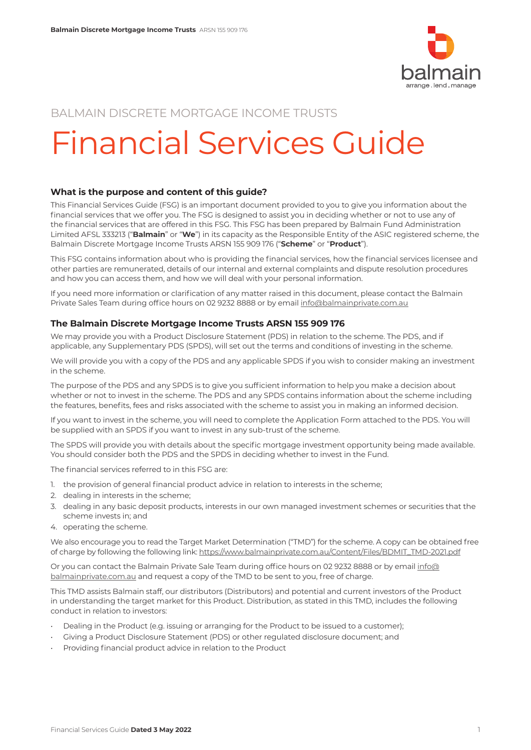

# BALMAIN DISCRETE MORTGAGE INCOME TRUSTS

# Financial Services Guide

# **What is the purpose and content of this guide?**

This Financial Services Guide (FSG) is an important document provided to you to give you information about the financial services that we offer you. The FSG is designed to assist you in deciding whether or not to use any of the financial services that are offered in this FSG. This FSG has been prepared by Balmain Fund Administration Limited AFSL 333213 ("**Balmain**" or "**We**") in its capacity as the Responsible Entity of the ASIC registered scheme, the Balmain Discrete Mortgage Income Trusts ARSN 155 909 176 ("**Scheme**" or "**Product**").

This FSG contains information about who is providing the financial services, how the financial services licensee and other parties are remunerated, details of our internal and external complaints and dispute resolution procedures and how you can access them, and how we will deal with your personal information.

If you need more information or clarification of any matter raised in this document, please contact the Balmain Private Sales Team during office hours on 02 9232 8888 or by email [info@balmainprivate.com.au](mailto:info@balmainprivate.com.au)

# **The Balmain Discrete Mortgage Income Trusts ARSN 155 909 176**

We may provide you with a Product Disclosure Statement (PDS) in relation to the scheme. The PDS, and if applicable, any Supplementary PDS (SPDS), will set out the terms and conditions of investing in the scheme.

We will provide you with a copy of the PDS and any applicable SPDS if you wish to consider making an investment in the scheme.

The purpose of the PDS and any SPDS is to give you sufficient information to help you make a decision about whether or not to invest in the scheme. The PDS and any SPDS contains information about the scheme including the features, benefits, fees and risks associated with the scheme to assist you in making an informed decision.

If you want to invest in the scheme, you will need to complete the Application Form attached to the PDS. You will be supplied with an SPDS if you want to invest in any sub-trust of the scheme.

The SPDS will provide you with details about the specific mortgage investment opportunity being made available. You should consider both the PDS and the SPDS in deciding whether to invest in the Fund.

The financial services referred to in this FSG are:

- 1. the provision of general financial product advice in relation to interests in the scheme;
- 2. dealing in interests in the scheme;
- 3. dealing in any basic deposit products, interests in our own managed investment schemes or securities that the scheme invests in; and
- 4. operating the scheme.

We also encourage you to read the Target Market Determination ("TMD") for the scheme. A copy can be obtained free of charge by following the following link: [https://www.balmainprivate.com.au/Content/Files/BDMIT\\_TMD-2021.pdf](https://www.balmainprivate.com.au/Content/Files/BDMIT_TMD-2021.pdf)

Or you can contact the Balmain Private Sale Team during office hours on 02 9232 8888 or by email [info@](mailto:info@balmainprivate.com.au) [balmainprivate.com.au](mailto:info@balmainprivate.com.au) and request a copy of the TMD to be sent to you, free of charge.

This TMD assists Balmain staff, our distributors (Distributors) and potential and current investors of the Product in understanding the target market for this Product. Distribution, as stated in this TMD, includes the following conduct in relation to investors:

- Dealing in the Product (e.g. issuing or arranging for the Product to be issued to a customer);
- Giving a Product Disclosure Statement (PDS) or other regulated disclosure document; and
- Providing financial product advice in relation to the Product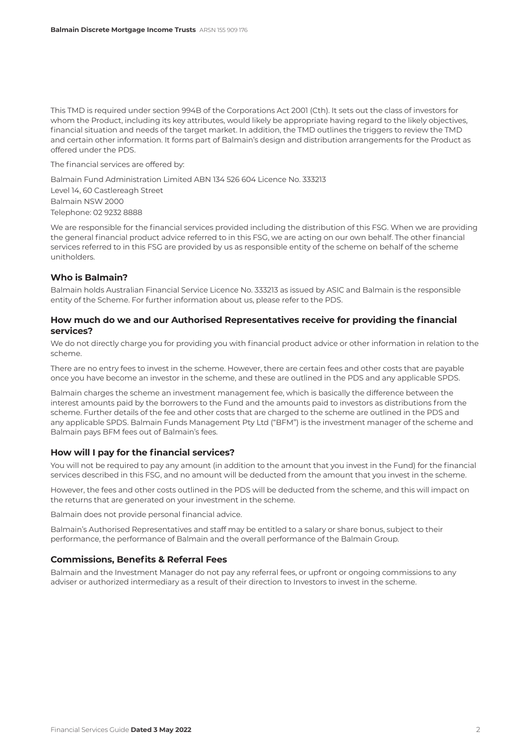This TMD is required under section 994B of the Corporations Act 2001 (Cth). It sets out the class of investors for whom the Product, including its key attributes, would likely be appropriate having regard to the likely objectives, financial situation and needs of the target market. In addition, the TMD outlines the triggers to review the TMD and certain other information. It forms part of Balmain's design and distribution arrangements for the Product as offered under the PDS.

The financial services are offered by:

Balmain Fund Administration Limited ABN 134 526 604 Licence No. 333213 Level 14, 60 Castlereagh Street Balmain NSW 2000 Telephone: 02 9232 8888

We are responsible for the financial services provided including the distribution of this FSG. When we are providing the general financial product advice referred to in this FSG, we are acting on our own behalf. The other financial services referred to in this FSG are provided by us as responsible entity of the scheme on behalf of the scheme unitholders.

#### **Who is Balmain?**

Balmain holds Australian Financial Service Licence No. 333213 as issued by ASIC and Balmain is the responsible entity of the Scheme. For further information about us, please refer to the PDS.

#### **How much do we and our Authorised Representatives receive for providing the financial services?**

We do not directly charge you for providing you with financial product advice or other information in relation to the scheme.

There are no entry fees to invest in the scheme. However, there are certain fees and other costs that are payable once you have become an investor in the scheme, and these are outlined in the PDS and any applicable SPDS.

Balmain charges the scheme an investment management fee, which is basically the difference between the interest amounts paid by the borrowers to the Fund and the amounts paid to investors as distributions from the scheme. Further details of the fee and other costs that are charged to the scheme are outlined in the PDS and any applicable SPDS. Balmain Funds Management Pty Ltd ("BFM") is the investment manager of the scheme and Balmain pays BFM fees out of Balmain's fees.

#### **How will I pay for the financial services?**

You will not be required to pay any amount (in addition to the amount that you invest in the Fund) for the financial services described in this FSG, and no amount will be deducted from the amount that you invest in the scheme.

However, the fees and other costs outlined in the PDS will be deducted from the scheme, and this will impact on the returns that are generated on your investment in the scheme.

Balmain does not provide personal financial advice.

Balmain's Authorised Representatives and staff may be entitled to a salary or share bonus, subject to their performance, the performance of Balmain and the overall performance of the Balmain Group.

#### **Commissions, Benefits & Referral Fees**

Balmain and the Investment Manager do not pay any referral fees, or upfront or ongoing commissions to any adviser or authorized intermediary as a result of their direction to Investors to invest in the scheme.